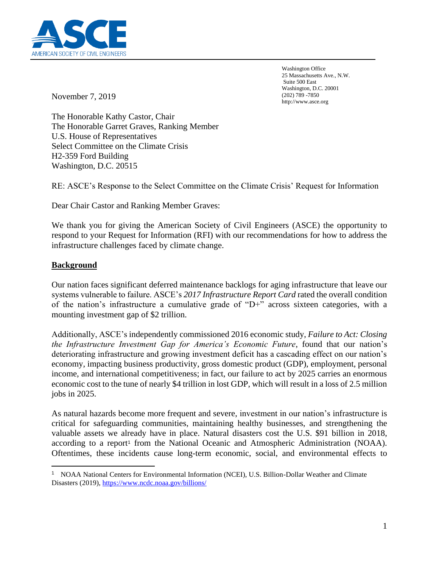

Washington Office 25 Massachusetts Ave., N.W. Suite 500 East Washington, D.C. 20001 (202) 789 -7850 http://www.asce.org

November 7, 2019

The Honorable Kathy Castor, Chair The Honorable Garret Graves, Ranking Member U.S. House of Representatives Select Committee on the Climate Crisis H2-359 Ford Building Washington, D.C. 20515

RE: ASCE's Response to the Select Committee on the Climate Crisis' Request for Information

Dear Chair Castor and Ranking Member Graves:

We thank you for giving the American Society of Civil Engineers (ASCE) the opportunity to respond to your Request for Information (RFI) with our recommendations for how to address the infrastructure challenges faced by climate change.

# **Background**

Our nation faces significant deferred maintenance backlogs for aging infrastructure that leave our systems vulnerable to failure. ASCE's *2017 Infrastructure Report Card* rated the overall condition of the nation's infrastructure a cumulative grade of "D+" across sixteen categories, with a mounting investment gap of \$2 trillion.

Additionally, ASCE's independently commissioned 2016 economic study, *Failure to Act: Closing the Infrastructure Investment Gap for America's Economic Future*, found that our nation's deteriorating infrastructure and growing investment deficit has a cascading effect on our nation's economy, impacting business productivity, gross domestic product (GDP), employment, personal income, and international competitiveness; in fact, our failure to act by 2025 carries an enormous economic cost to the tune of nearly \$4 trillion in lost GDP, which will result in a loss of 2.5 million jobs in 2025.

As natural hazards become more frequent and severe, investment in our nation's infrastructure is critical for safeguarding communities, maintaining healthy businesses, and strengthening the valuable assets we already have in place. Natural disasters cost the U.S. \$91 billion in 2018, according to a report<sup>1</sup> from the National Oceanic and Atmospheric Administration (NOAA). Oftentimes, these incidents cause long-term economic, social, and environmental effects to

<sup>&</sup>lt;sup>1</sup> NOAA National Centers for Environmental Information (NCEI), U.S. Billion-Dollar Weather and Climate Disasters (2019),<https://www.ncdc.noaa.gov/billions/>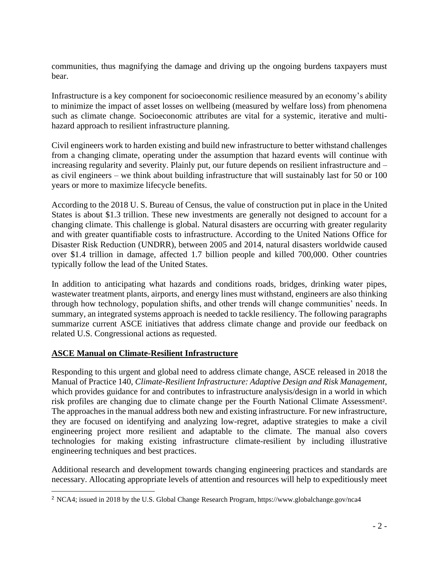communities, thus magnifying the damage and driving up the ongoing burdens taxpayers must bear.

Infrastructure is a key component for socioeconomic resilience measured by an economy's ability to minimize the impact of asset losses on wellbeing (measured by welfare loss) from phenomena such as climate change. Socioeconomic attributes are vital for a systemic, iterative and multihazard approach to resilient infrastructure planning.

Civil engineers work to harden existing and build new infrastructure to better withstand challenges from a changing climate, operating under the assumption that hazard events will continue with increasing regularity and severity. Plainly put, our future depends on resilient infrastructure and – as civil engineers – we think about building infrastructure that will sustainably last for 50 or 100 years or more to maximize lifecycle benefits.

According to the 2018 U. S. Bureau of Census, the value of construction put in place in the United States is about \$1.3 trillion. These new investments are generally not designed to account for a changing climate. This challenge is global. Natural disasters are occurring with greater regularity and with greater quantifiable costs to infrastructure. According to the United Nations Office for Disaster Risk Reduction (UNDRR), between 2005 and 2014, natural disasters worldwide caused over \$1.4 trillion in damage, affected 1.7 billion people and killed 700,000. Other countries typically follow the lead of the United States.

In addition to anticipating what hazards and conditions roads, bridges, drinking water pipes, wastewater treatment plants, airports, and energy lines must withstand, engineers are also thinking through how technology, population shifts, and other trends will change communities' needs. In summary, an integrated systems approach is needed to tackle resiliency. The following paragraphs summarize current ASCE initiatives that address climate change and provide our feedback on related U.S. Congressional actions as requested.

### **ASCE Manual on Climate-Resilient Infrastructure**

Responding to this urgent and global need to address climate change, ASCE released in 2018 the Manual of Practice 140, *Climate-Resilient Infrastructure: Adaptive Design and Risk Management*, which provides guidance for and contributes to infrastructure analysis/design in a world in which risk profiles are changing due to climate change per the Fourth National Climate Assessment<sup>2</sup>. The approaches in the manual address both new and existing infrastructure. For new infrastructure, they are focused on identifying and analyzing low-regret, adaptive strategies to make a civil engineering project more resilient and adaptable to the climate. The manual also covers technologies for making existing infrastructure climate-resilient by including illustrative engineering techniques and best practices.

Additional research and development towards changing engineering practices and standards are necessary. Allocating appropriate levels of attention and resources will help to expeditiously meet

<sup>2</sup> NCA4; issued in 2018 by the U.S. Global Change Research Program, https://www.globalchange.gov/nca4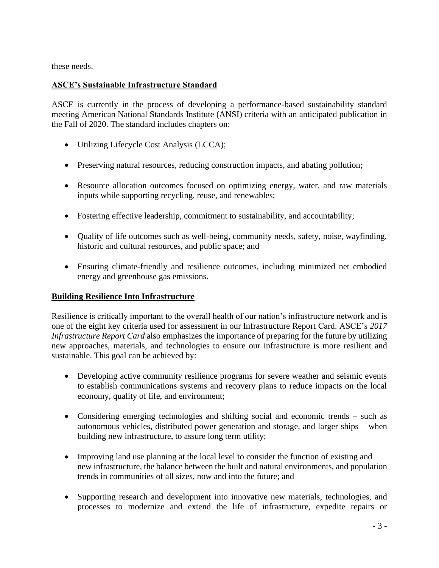these needs.

### **ASCE's Sustainable Infrastructure Standard**

ASCE is currently in the process of developing a performance-based sustainability standard meeting American National Standards Institute (ANSI) criteria with an anticipated publication in the Fall of 2020. The standard includes chapters on:

- Utilizing Lifecycle Cost Analysis (LCCA);
- Preserving natural resources, reducing construction impacts, and abating pollution;
- Resource allocation outcomes focused on optimizing energy, water, and raw materials inputs while supporting recycling, reuse, and renewables;
- Fostering effective leadership, commitment to sustainability, and accountability;
- Quality of life outcomes such as well-being, community needs, safety, noise, wayfinding, historic and cultural resources, and public space; and
- Ensuring climate-friendly and resilience outcomes, including minimized net embodied energy and greenhouse gas emissions.

### **Building Resilience Into Infrastructure**

Resilience is critically important to the overall health of our nation's infrastructure network and is one of the eight key criteria used for assessment in our Infrastructure Report Card. ASCE's *2017 Infrastructure Report Card* also emphasizes the importance of preparing for the future by utilizing new approaches, materials, and technologies to ensure our infrastructure is more resilient and sustainable. This goal can be achieved by:

- Developing active community resilience programs for severe weather and seismic events to establish communications systems and recovery plans to reduce impacts on the local economy, quality of life, and environment;
- Considering emerging technologies and shifting social and economic trends such as autonomous vehicles, distributed power generation and storage, and larger ships – when building new infrastructure, to assure long term utility;
- Improving land use planning at the local level to consider the function of existing and new infrastructure, the balance between the built and natural environments, and population trends in communities of all sizes, now and into the future; and
- Supporting research and development into innovative new materials, technologies, and processes to modernize and extend the life of infrastructure, expedite repairs or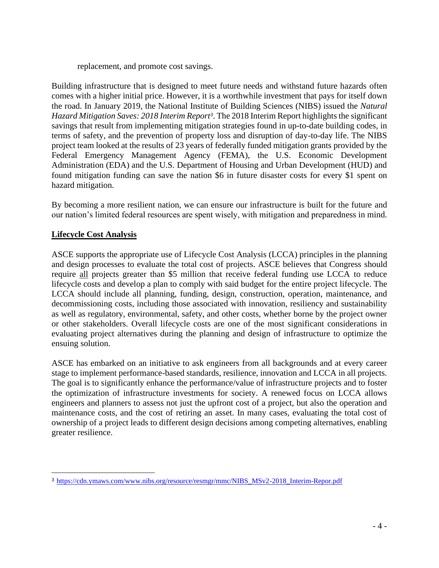replacement, and promote cost savings.

Building infrastructure that is designed to meet future needs and withstand future hazards often comes with a higher initial price. However, it is a worthwhile investment that pays for itself down the road. In January 2019, the National Institute of Building Sciences (NIBS) issued the *Natural Hazard Mitigation Saves: 2018 Interim Report<sup>3</sup>* . The 2018 Interim Report highlights the significant savings that result from implementing mitigation strategies found in up-to-date building codes, in terms of safety, and the prevention of property loss and disruption of day-to-day life. The NIBS project team looked at the results of 23 years of federally funded mitigation grants provided by the Federal Emergency Management Agency (FEMA), the U.S. Economic Development Administration (EDA) and the U.S. Department of Housing and Urban Development (HUD) and found mitigation funding can save the nation \$6 in future disaster costs for every \$1 spent on hazard mitigation.

By becoming a more resilient nation, we can ensure our infrastructure is built for the future and our nation's limited federal resources are spent wisely, with mitigation and preparedness in mind.

#### **Lifecycle Cost Analysis**

ASCE supports the appropriate use of Lifecycle Cost Analysis (LCCA) principles in the planning and design processes to evaluate the total cost of projects. ASCE believes that Congress should require all projects greater than \$5 million that receive federal funding use LCCA to reduce lifecycle costs and develop a plan to comply with said budget for the entire project lifecycle. The LCCA should include all planning, funding, design, construction, operation, maintenance, and decommissioning costs, including those associated with innovation, resiliency and sustainability as well as regulatory, environmental, safety, and other costs, whether borne by the project owner or other stakeholders. Overall lifecycle costs are one of the most significant considerations in evaluating project alternatives during the planning and design of infrastructure to optimize the ensuing solution.

ASCE has embarked on an initiative to ask engineers from all backgrounds and at every career stage to implement performance-based standards, resilience, innovation and LCCA in all projects. The goal is to significantly enhance the performance/value of infrastructure projects and to foster the optimization of infrastructure investments for society. A renewed focus on LCCA allows engineers and planners to assess not just the upfront cost of a project, but also the operation and maintenance costs, and the cost of retiring an asset. In many cases, evaluating the total cost of ownership of a project leads to different design decisions among competing alternatives, enabling greater resilience.

<sup>3</sup> [https://cdn.ymaws.com/www.nibs.org/resource/resmgr/mmc/NIBS\\_MSv2-2018\\_Interim-Repor.pdf](https://cdn.ymaws.com/www.nibs.org/resource/resmgr/mmc/NIBS_MSv2-2018_Interim-Repor.pdf)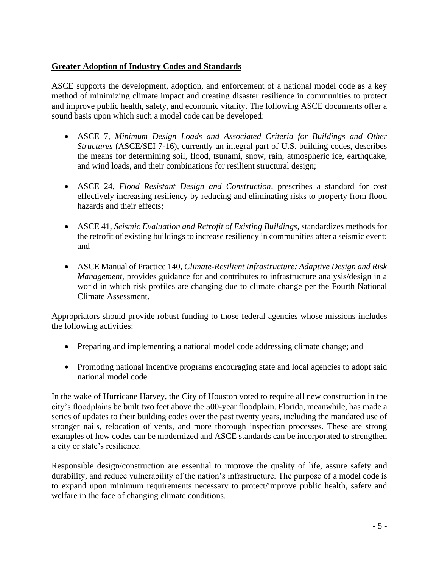## **Greater Adoption of Industry Codes and Standards**

ASCE supports the development, adoption, and enforcement of a national model code as a key method of minimizing climate impact and creating disaster resilience in communities to protect and improve public health, safety, and economic vitality. The following ASCE documents offer a sound basis upon which such a model code can be developed:

- ASCE 7, *Minimum Design Loads and Associated Criteria for Buildings and Other Structures* (ASCE/SEI 7-16), currently an integral part of U.S. building codes, describes the means for determining soil, flood, tsunami, snow, rain, atmospheric ice, earthquake, and wind loads, and their combinations for resilient structural design;
- ASCE 24, *Flood Resistant Design and Construction*, prescribes a standard for cost effectively increasing resiliency by reducing and eliminating risks to property from flood hazards and their effects;
- ASCE 41, *Seismic Evaluation and Retrofit of Existing Buildings*, standardizes methods for the retrofit of existing buildings to increase resiliency in communities after a seismic event; and
- ASCE Manual of Practice 140, *Climate-Resilient Infrastructure: Adaptive Design and Risk Management*, provides guidance for and contributes to infrastructure analysis/design in a world in which risk profiles are changing due to climate change per the Fourth National Climate Assessment.

Appropriators should provide robust funding to those federal agencies whose missions includes the following activities:

- Preparing and implementing a national model code addressing climate change; and
- Promoting national incentive programs encouraging state and local agencies to adopt said national model code.

In the wake of Hurricane Harvey, the City of Houston voted to require all new construction in the city's floodplains be built two feet above the 500-year floodplain. Florida, meanwhile, has made a series of updates to their building codes over the past twenty years, including the mandated use of stronger nails, relocation of vents, and more thorough inspection processes. These are strong examples of how codes can be modernized and ASCE standards can be incorporated to strengthen a city or state's resilience.

Responsible design/construction are essential to improve the quality of life, assure safety and durability, and reduce vulnerability of the nation's infrastructure. The purpose of a model code is to expand upon minimum requirements necessary to protect/improve public health, safety and welfare in the face of changing climate conditions.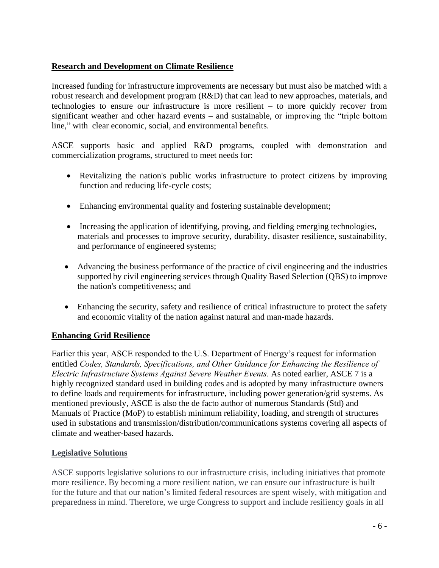## **Research and Development on Climate Resilience**

Increased funding for infrastructure improvements are necessary but must also be matched with a robust research and development program (R&D) that can lead to new approaches, materials, and technologies to ensure our infrastructure is more resilient – to more quickly recover from significant weather and other hazard events – and sustainable, or improving the "triple bottom line," with clear economic, social, and environmental benefits.

ASCE supports basic and applied R&D programs, coupled with demonstration and commercialization programs, structured to meet needs for:

- Revitalizing the nation's public works infrastructure to protect citizens by improving function and reducing life-cycle costs;
- Enhancing environmental quality and fostering sustainable development;
- Increasing the application of identifying, proving, and fielding emerging technologies, materials and processes to improve security, durability, disaster resilience, sustainability, and performance of engineered systems;
- Advancing the business performance of the practice of civil engineering and the industries supported by civil engineering services through Quality Based Selection (QBS) to improve the nation's competitiveness; and
- Enhancing the security, safety and resilience of critical infrastructure to protect the safety and economic vitality of the nation against natural and man-made hazards.

### **Enhancing Grid Resilience**

Earlier this year, ASCE responded to the U.S. Department of Energy's request for information entitled *Codes, Standards, Specifications, and Other Guidance for Enhancing the Resilience of Electric Infrastructure Systems Against Severe Weather Events.* As noted earlier, ASCE 7 is a highly recognized standard used in building codes and is adopted by many infrastructure owners to define loads and requirements for infrastructure, including power generation/grid systems. As mentioned previously, ASCE is also the de facto author of numerous Standards (Std) and Manuals of Practice (MoP) to establish minimum reliability, loading, and strength of structures used in substations and transmission/distribution/communications systems covering all aspects of climate and weather-based hazards.

### **Legislative Solutions**

ASCE supports legislative solutions to our infrastructure crisis, including initiatives that promote more resilience. By becoming a more resilient nation, we can ensure our infrastructure is built for the future and that our nation's limited federal resources are spent wisely, with mitigation and preparedness in mind. Therefore, we urge Congress to support and include resiliency goals in all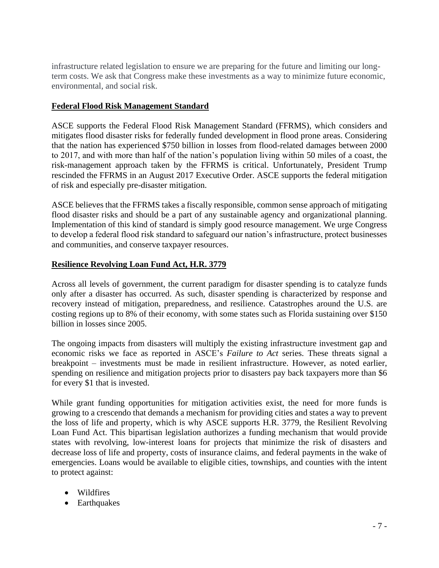infrastructure related legislation to ensure we are preparing for the future and limiting our longterm costs. We ask that Congress make these investments as a way to minimize future economic, environmental, and social risk.

#### **Federal Flood Risk Management Standard**

ASCE supports the Federal Flood Risk Management Standard (FFRMS), which considers and mitigates flood disaster risks for federally funded development in flood prone areas. Considering that the nation has experienced \$750 billion in losses from flood-related damages between 2000 to 2017, and with more than half of the nation's population living within 50 miles of a coast, the risk-management approach taken by the FFRMS is critical. Unfortunately, President Trump rescinded the FFRMS in an August 2017 Executive Order. ASCE supports the federal mitigation of risk and especially pre-disaster mitigation.

ASCE believes that the FFRMS takes a fiscally responsible, common sense approach of mitigating flood disaster risks and should be a part of any sustainable agency and organizational planning. Implementation of this kind of standard is simply good resource management. We urge Congress to develop a federal flood risk standard to safeguard our nation's infrastructure, protect businesses and communities, and conserve taxpayer resources.

#### **Resilience Revolving Loan Fund Act, H.R. 3779**

Across all levels of government, the current paradigm for disaster spending is to catalyze funds only after a disaster has occurred. As such, disaster spending is characterized by response and recovery instead of mitigation, preparedness, and resilience. Catastrophes around the U.S. are costing regions up to 8% of their economy, with some states such as Florida sustaining over \$150 billion in losses since 2005.

The ongoing impacts from disasters will multiply the existing infrastructure investment gap and economic risks we face as reported in ASCE's *Failure to Act* series. These threats signal a breakpoint – investments must be made in resilient infrastructure. However, as noted earlier, spending on resilience and mitigation projects prior to disasters pay back taxpayers more than \$6 for every \$1 that is invested.

While grant funding opportunities for mitigation activities exist, the need for more funds is growing to a crescendo that demands a mechanism for providing cities and states a way to prevent the loss of life and property, which is why ASCE supports H.R. 3779, the Resilient Revolving Loan Fund Act. This bipartisan legislation authorizes a funding mechanism that would provide states with revolving, low-interest loans for projects that minimize the risk of disasters and decrease loss of life and property, costs of insurance claims, and federal payments in the wake of emergencies. Loans would be available to eligible cities, townships, and counties with the intent to protect against:

- Wildfires
- Earthquakes